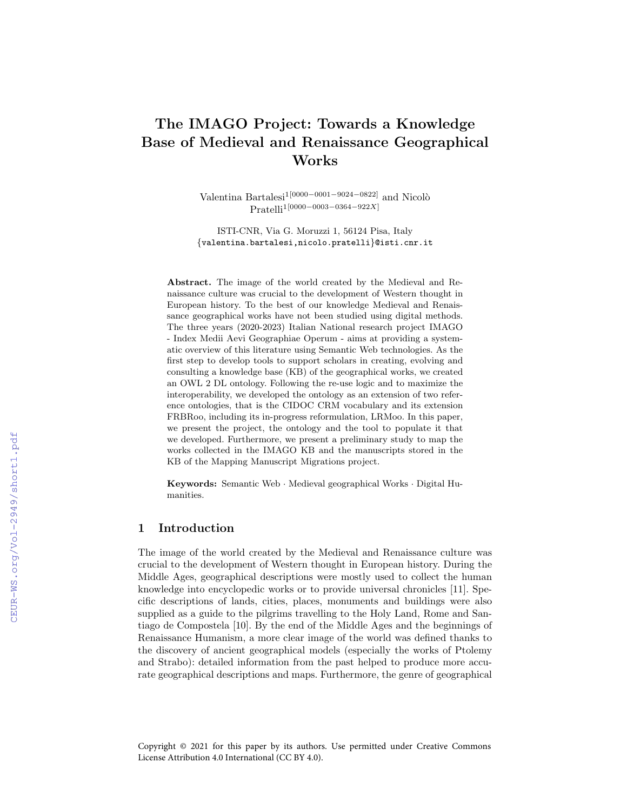# The IMAGO Project: Towards a Knowledge Base of Medieval and Renaissance Geographical Works

Valentina Bartalesi1[0000−0001−9024−0822] and Nicol`o Pratelli1[0000−0003−0364−922X]

ISTI-CNR, Via G. Moruzzi 1, 56124 Pisa, Italy {valentina.bartalesi,nicolo.pratelli}@isti.cnr.it

Abstract. The image of the world created by the Medieval and Renaissance culture was crucial to the development of Western thought in European history. To the best of our knowledge Medieval and Renaissance geographical works have not been studied using digital methods. The three years (2020-2023) Italian National research project IMAGO - Index Medii Aevi Geographiae Operum - aims at providing a systematic overview of this literature using Semantic Web technologies. As the first step to develop tools to support scholars in creating, evolving and consulting a knowledge base (KB) of the geographical works, we created an OWL 2 DL ontology. Following the re-use logic and to maximize the interoperability, we developed the ontology as an extension of two reference ontologies, that is the CIDOC CRM vocabulary and its extension FRBRoo, including its in-progress reformulation, LRMoo. In this paper, we present the project, the ontology and the tool to populate it that we developed. Furthermore, we present a preliminary study to map the works collected in the IMAGO KB and the manuscripts stored in the KB of the Mapping Manuscript Migrations project.

Keywords: Semantic Web · Medieval geographical Works · Digital Humanities.

#### 1 Introduction

The image of the world created by the Medieval and Renaissance culture was crucial to the development of Western thought in European history. During the Middle Ages, geographical descriptions were mostly used to collect the human knowledge into encyclopedic works or to provide universal chronicles [11]. Specific descriptions of lands, cities, places, monuments and buildings were also supplied as a guide to the pilgrims travelling to the Holy Land, Rome and Santiago de Compostela [10]. By the end of the Middle Ages and the beginnings of Renaissance Humanism, a more clear image of the world was defined thanks to the discovery of ancient geographical models (especially the works of Ptolemy and Strabo): detailed information from the past helped to produce more accurate geographical descriptions and maps. Furthermore, the genre of geographical

Copyright © 2021 for this paper by its authors. Use permitted under Creative Commons License Attribution 4.0 International (CC BY 4.0).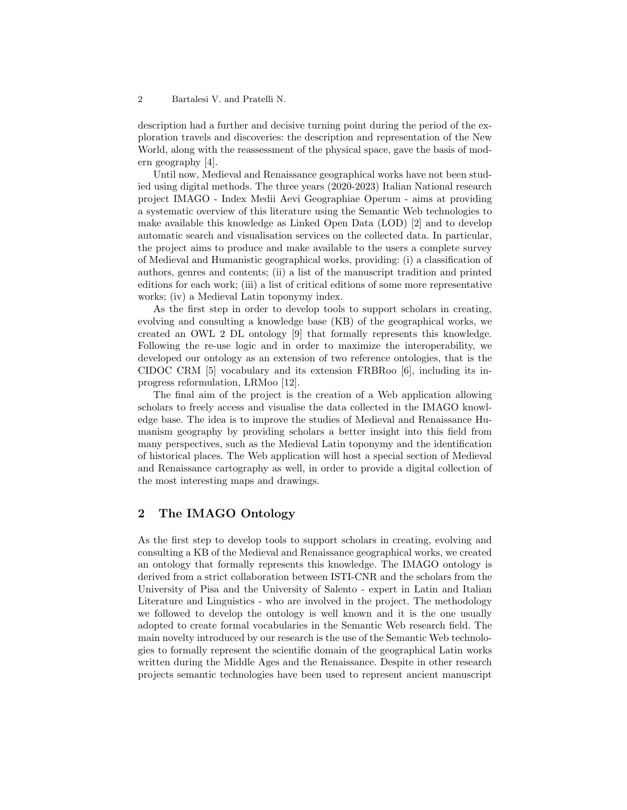description had a further and decisive turning point during the period of the exploration travels and discoveries: the description and representation of the New World, along with the reassessment of the physical space, gave the basis of modern geography [4].

Until now, Medieval and Renaissance geographical works have not been studied using digital methods. The three years (2020-2023) Italian National research project IMAGO - Index Medii Aevi Geographiae Operum - aims at providing a systematic overview of this literature using the Semantic Web technologies to make available this knowledge as Linked Open Data (LOD) [2] and to develop automatic search and visualisation services on the collected data. In particular, the project aims to produce and make available to the users a complete survey of Medieval and Humanistic geographical works, providing: (i) a classification of authors, genres and contents; (ii) a list of the manuscript tradition and printed editions for each work; (iii) a list of critical editions of some more representative works; (iv) a Medieval Latin toponymy index.

As the first step in order to develop tools to support scholars in creating, evolving and consulting a knowledge base (KB) of the geographical works, we created an OWL 2 DL ontology [9] that formally represents this knowledge. Following the re-use logic and in order to maximize the interoperability, we developed our ontology as an extension of two reference ontologies, that is the CIDOC CRM [5] vocabulary and its extension FRBRoo [6], including its inprogress reformulation, LRMoo [12].

The final aim of the project is the creation of a Web application allowing scholars to freely access and visualise the data collected in the IMAGO knowledge base. The idea is to improve the studies of Medieval and Renaissance Humanism geography by providing scholars a better insight into this field from many perspectives, such as the Medieval Latin toponymy and the identification of historical places. The Web application will host a special section of Medieval and Renaissance cartography as well, in order to provide a digital collection of the most interesting maps and drawings.

## 2 The IMAGO Ontology

As the first step to develop tools to support scholars in creating, evolving and consulting a KB of the Medieval and Renaissance geographical works, we created an ontology that formally represents this knowledge. The IMAGO ontology is derived from a strict collaboration between ISTI-CNR and the scholars from the University of Pisa and the University of Salento - expert in Latin and Italian Literature and Linguistics - who are involved in the project. The methodology we followed to develop the ontology is well known and it is the one usually adopted to create formal vocabularies in the Semantic Web research field. The main novelty introduced by our research is the use of the Semantic Web technologies to formally represent the scientific domain of the geographical Latin works written during the Middle Ages and the Renaissance. Despite in other research projects semantic technologies have been used to represent ancient manuscript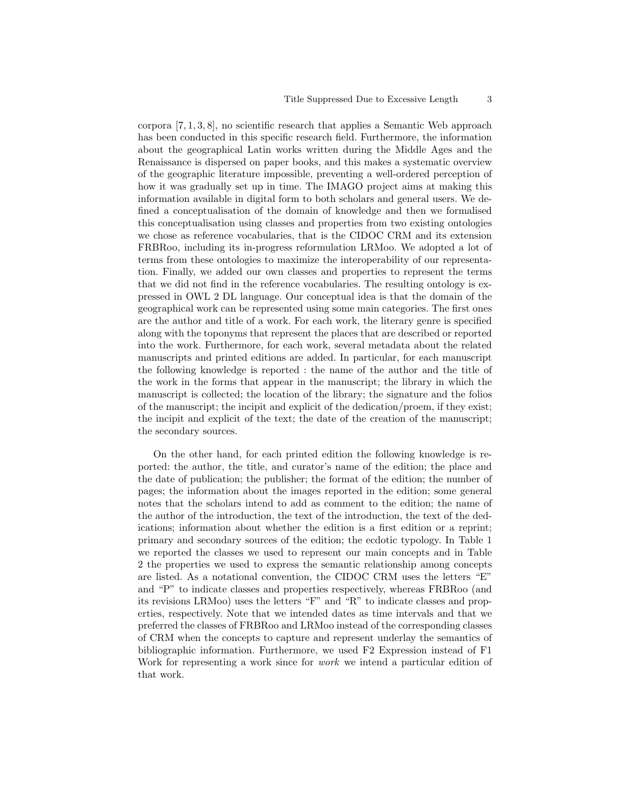corpora  $[7, 1, 3, 8]$ , no scientific research that applies a Semantic Web approach has been conducted in this specific research field. Furthermore, the information about the geographical Latin works written during the Middle Ages and the Renaissance is dispersed on paper books, and this makes a systematic overview of the geographic literature impossible, preventing a well-ordered perception of how it was gradually set up in time. The IMAGO project aims at making this information available in digital form to both scholars and general users. We defined a conceptualisation of the domain of knowledge and then we formalised this conceptualisation using classes and properties from two existing ontologies we chose as reference vocabularies, that is the CIDOC CRM and its extension FRBRoo, including its in-progress reformulation LRMoo. We adopted a lot of terms from these ontologies to maximize the interoperability of our representation. Finally, we added our own classes and properties to represent the terms that we did not find in the reference vocabularies. The resulting ontology is expressed in OWL 2 DL language. Our conceptual idea is that the domain of the geographical work can be represented using some main categories. The first ones are the author and title of a work. For each work, the literary genre is specified along with the toponyms that represent the places that are described or reported into the work. Furthermore, for each work, several metadata about the related manuscripts and printed editions are added. In particular, for each manuscript the following knowledge is reported : the name of the author and the title of the work in the forms that appear in the manuscript; the library in which the manuscript is collected; the location of the library; the signature and the folios of the manuscript; the incipit and explicit of the dedication/proem, if they exist; the incipit and explicit of the text; the date of the creation of the manuscript; the secondary sources.

On the other hand, for each printed edition the following knowledge is reported: the author, the title, and curator's name of the edition; the place and the date of publication; the publisher; the format of the edition; the number of pages; the information about the images reported in the edition; some general notes that the scholars intend to add as comment to the edition; the name of the author of the introduction, the text of the introduction, the text of the dedications; information about whether the edition is a first edition or a reprint; primary and secondary sources of the edition; the ecdotic typology. In Table 1 we reported the classes we used to represent our main concepts and in Table 2 the properties we used to express the semantic relationship among concepts are listed. As a notational convention, the CIDOC CRM uses the letters "E" and "P" to indicate classes and properties respectively, whereas FRBRoo (and its revisions LRMoo) uses the letters "F" and "R" to indicate classes and properties, respectively. Note that we intended dates as time intervals and that we preferred the classes of FRBRoo and LRMoo instead of the corresponding classes of CRM when the concepts to capture and represent underlay the semantics of bibliographic information. Furthermore, we used F2 Expression instead of F1 Work for representing a work since for *work* we intend a particular edition of that work.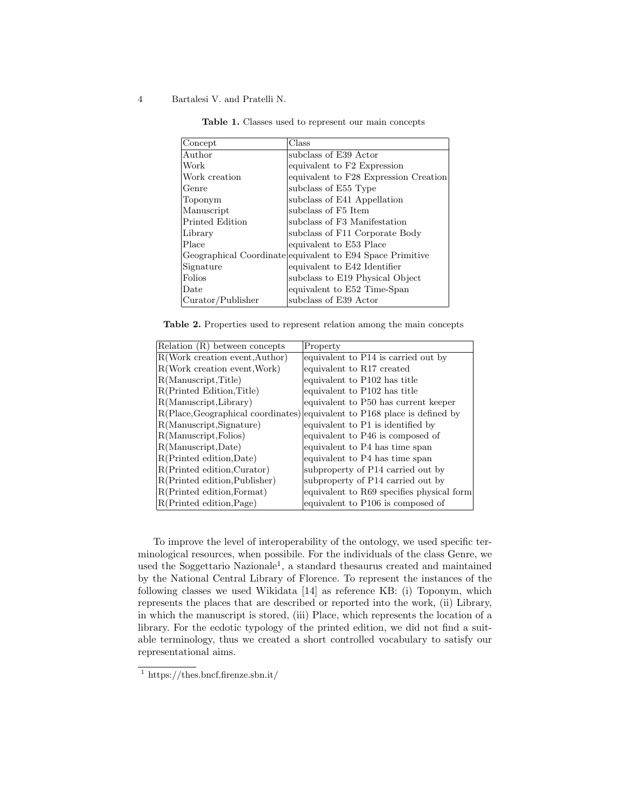#### 4 Bartalesi V. and Pratelli N.

| Concept           | Class                                                     |
|-------------------|-----------------------------------------------------------|
| Author            | subclass of E39 Actor                                     |
| Work              | equivalent to F2 Expression                               |
| Work creation     | equivalent to F28 Expression Creation                     |
| Genre             | subclass of E55 Type                                      |
| Toponym           | subclass of E41 Appellation                               |
| Manuscript        | subclass of F5 Item                                       |
| Printed Edition   | subclass of F3 Manifestation                              |
| Library           | subclass of F11 Corporate Body                            |
| Place             | equivalent to E53 Place                                   |
|                   | Geographical Coordinate equivalent to E94 Space Primitive |
| Signature         | equivalent to E42 Identifier                              |
| Folios            | subclass to E19 Physical Object                           |
| Date              | equivalent to E52 Time-Span                               |
| Curator/Publisher | subclass of E39 Actor                                     |

Table 1. Classes used to represent our main concepts

Table 2. Properties used to represent relation among the main concepts

| Relation (R) between concepts  | Property                                                                  |
|--------------------------------|---------------------------------------------------------------------------|
| R(Work creation event, Author) | equivalent to P14 is carried out by                                       |
| R(Work creation event, Work)   | equivalent to R17 created                                                 |
| R(Manuscript, Title)           | equivalent to P102 has title                                              |
| R(Printed Edition, Title)      | equivalent to P102 has title                                              |
| R(Manuscript, Library)         | equivalent to P50 has current keeper                                      |
|                                | R(Place, Geographical coordinates) equivalent to P168 place is defined by |
| R(Manuscript, Signature)       | equivalent to P1 is identified by                                         |
| R(Manuscript, Folios)          | equivalent to P46 is composed of                                          |
| R(Manuscript, Date)            | equivalent to P4 has time span                                            |
| R(Printed edition, Date)       | equivalent to P4 has time span                                            |
| R(Printed edition, Curator)    | subproperty of P14 carried out by                                         |
| R(Printed edition, Publisher)  | subproperty of P14 carried out by                                         |
| R(Printed edition, Format)     | equivalent to R69 specifies physical form                                 |
| R(Printed edition, Page)       | equivalent to P106 is composed of                                         |

To improve the level of interoperability of the ontology, we used specific terminological resources, when possibile. For the individuals of the class Genre, we used the Soggettario Nazionale<sup>1</sup>, a standard thesaurus created and maintained by the National Central Library of Florence. To represent the instances of the following classes we used Wikidata [14] as reference KB: (i) Toponym, which represents the places that are described or reported into the work, (ii) Library, in which the manuscript is stored, (iii) Place, which represents the location of a library. For the ecdotic typology of the printed edition, we did not find a suitable terminology, thus we created a short controlled vocabulary to satisfy our representational aims.

 $\frac{1}{1}$  https://thes.bncf.firenze.sbn.it/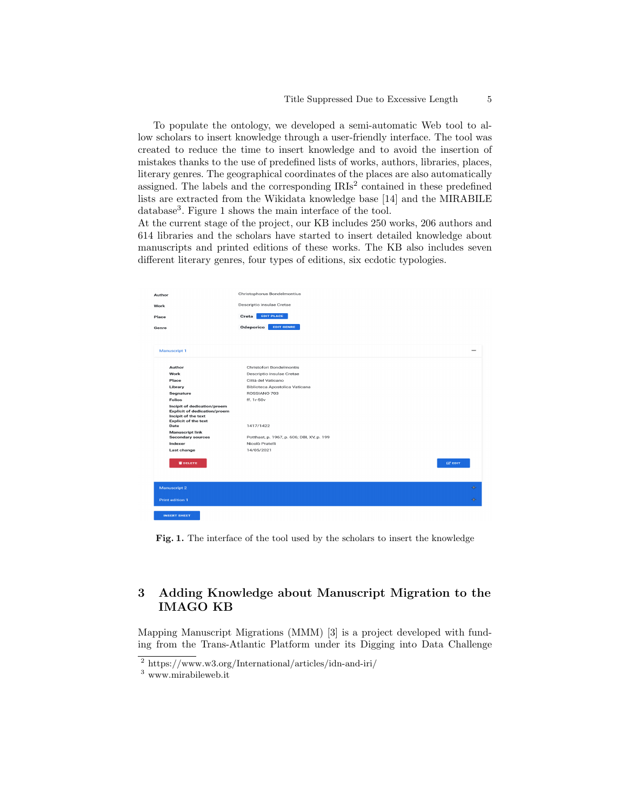To populate the ontology, we developed a semi-automatic Web tool to allow scholars to insert knowledge through a user-friendly interface. The tool was created to reduce the time to insert knowledge and to avoid the insertion of mistakes thanks to the use of predefined lists of works, authors, libraries, places, literary genres. The geographical coordinates of the places are also automatically assigned. The labels and the corresponding  $IRIs<sup>2</sup>$  contained in these predefined lists are extracted from the Wikidata knowledge base [14] and the MIRABILE database<sup>3</sup>. Figure 1 shows the main interface of the tool.

At the current stage of the project, our KB includes 250 works, 206 authors and 614 libraries and the scholars have started to insert detailed knowledge about manuscripts and printed editions of these works. The KB also includes seven different literary genres, four types of editions, six ecdotic typologies.

|               |                                                                                                                          | Christophorus Bondelmontius                             |                          |
|---------------|--------------------------------------------------------------------------------------------------------------------------|---------------------------------------------------------|--------------------------|
| Author        |                                                                                                                          |                                                         |                          |
| Work<br>Place |                                                                                                                          | Descriptio insulae Cretae<br><b>EDIT PLACE</b><br>Creta |                          |
|               |                                                                                                                          |                                                         |                          |
|               |                                                                                                                          |                                                         |                          |
|               | Manuscript 1                                                                                                             |                                                         | $\overline{\phantom{a}}$ |
|               |                                                                                                                          |                                                         |                          |
|               | Author                                                                                                                   | Christofori Bondelmontis                                |                          |
|               | Work                                                                                                                     | Descriptio insulae Cretae                               |                          |
|               | Place                                                                                                                    | Città del Vaticano                                      |                          |
|               | Library                                                                                                                  | Biblioteca Apostolica Vaticana                          |                          |
|               | Segnature                                                                                                                | ROSSIANO 703                                            |                          |
|               | <b>Folios</b>                                                                                                            | ff. 1r-50v                                              |                          |
|               | Incipit of dedication/proem<br><b>Explicit of dedication/proem</b><br>Incipit of the text<br><b>Explicit of the text</b> |                                                         |                          |
|               | Date<br><b>Manuscript link</b>                                                                                           | 1417/1422                                               |                          |
|               | <b>Secondary sources</b>                                                                                                 | Potthast, p. 1967, p. 606; DBI, XV, p. 199              |                          |
|               | Indexer                                                                                                                  | Nicolò Pratelli                                         |                          |
|               | Last change                                                                                                              | 14/05/2021                                              |                          |
|               | <b>WDELETE</b>                                                                                                           | <b>E2 EDIT</b>                                          |                          |
|               |                                                                                                                          |                                                         |                          |
|               | Manuscript 2                                                                                                             |                                                         | $\oplus$                 |
|               | Print edition 1                                                                                                          |                                                         | elle.                    |
|               | <b>INSERT SHEET</b>                                                                                                      |                                                         |                          |

Fig. 1. The interface of the tool used by the scholars to insert the knowledge

# 3 Adding Knowledge about Manuscript Migration to the IMAGO KB

Mapping Manuscript Migrations (MMM) [3] is a project developed with funding from the Trans-Atlantic Platform under its Digging into Data Challenge

<sup>2</sup> https://www.w3.org/International/articles/idn-and-iri/

<sup>3</sup> www.mirabileweb.it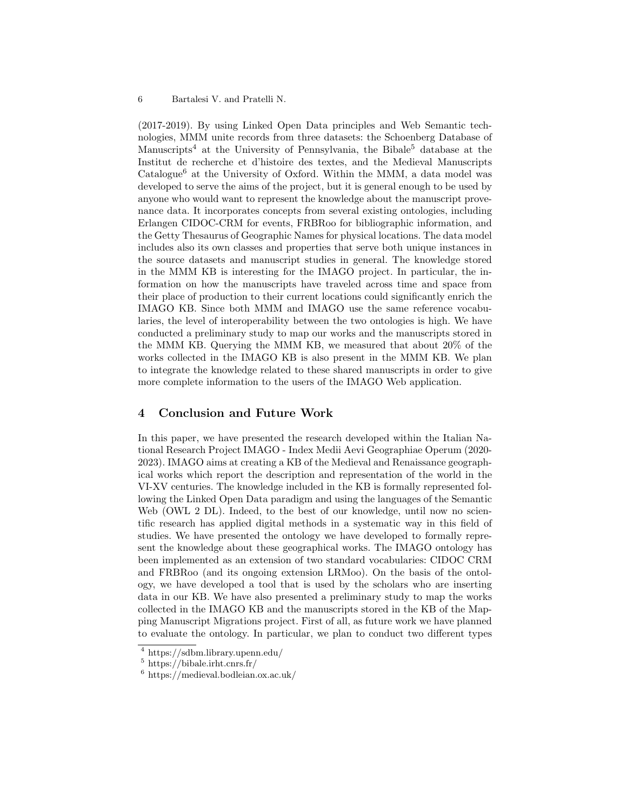(2017-2019). By using Linked Open Data principles and Web Semantic technologies, MMM unite records from three datasets: the Schoenberg Database of Manuscripts<sup>4</sup> at the University of Pennsylvania, the Bibale<sup>5</sup> database at the Institut de recherche et d'histoire des textes, and the Medieval Manuscripts  $Catalogue<sup>6</sup>$  at the University of Oxford. Within the MMM, a data model was developed to serve the aims of the project, but it is general enough to be used by anyone who would want to represent the knowledge about the manuscript provenance data. It incorporates concepts from several existing ontologies, including Erlangen CIDOC-CRM for events, FRBRoo for bibliographic information, and the Getty Thesaurus of Geographic Names for physical locations. The data model includes also its own classes and properties that serve both unique instances in the source datasets and manuscript studies in general. The knowledge stored in the MMM KB is interesting for the IMAGO project. In particular, the information on how the manuscripts have traveled across time and space from their place of production to their current locations could significantly enrich the IMAGO KB. Since both MMM and IMAGO use the same reference vocabularies, the level of interoperability between the two ontologies is high. We have conducted a preliminary study to map our works and the manuscripts stored in the MMM KB. Querying the MMM KB, we measured that about 20% of the works collected in the IMAGO KB is also present in the MMM KB. We plan to integrate the knowledge related to these shared manuscripts in order to give more complete information to the users of the IMAGO Web application.

# 4 Conclusion and Future Work

In this paper, we have presented the research developed within the Italian National Research Project IMAGO - Index Medii Aevi Geographiae Operum (2020- 2023). IMAGO aims at creating a KB of the Medieval and Renaissance geographical works which report the description and representation of the world in the VI-XV centuries. The knowledge included in the KB is formally represented following the Linked Open Data paradigm and using the languages of the Semantic Web (OWL 2 DL). Indeed, to the best of our knowledge, until now no scientific research has applied digital methods in a systematic way in this field of studies. We have presented the ontology we have developed to formally represent the knowledge about these geographical works. The IMAGO ontology has been implemented as an extension of two standard vocabularies: CIDOC CRM and FRBRoo (and its ongoing extension LRMoo). On the basis of the ontology, we have developed a tool that is used by the scholars who are inserting data in our KB. We have also presented a preliminary study to map the works collected in the IMAGO KB and the manuscripts stored in the KB of the Mapping Manuscript Migrations project. First of all, as future work we have planned to evaluate the ontology. In particular, we plan to conduct two different types

<sup>4</sup> https://sdbm.library.upenn.edu/

 $5 \text{ https://bible.irth.cnrs.fr/}$ 

<sup>6</sup> https://medieval.bodleian.ox.ac.uk/